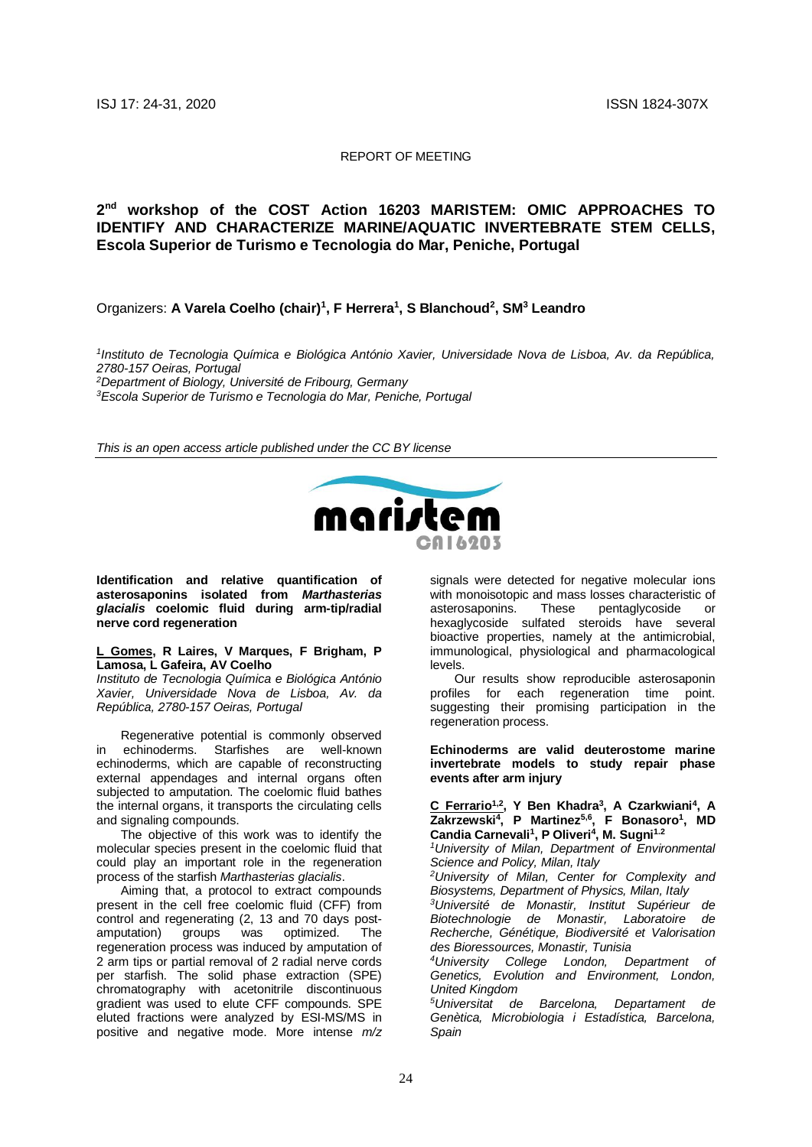#### REPORT OF MEETING

# **2 nd workshop of the COST Action 16203 MARISTEM: OMIC APPROACHES TO IDENTIFY AND CHARACTERIZE MARINE/AQUATIC INVERTEBRATE STEM CELLS, Escola Superior de Turismo e Tecnologia do Mar, Peniche, Portugal**

# Organizers: **A Varela Coelho (chair)<sup>1</sup> , F Herrera<sup>1</sup> , S Blanchoud<sup>2</sup> , SM<sup>3</sup> Leandro**

*1 Instituto de Tecnologia Química e Biológica António Xavier, Universidade Nova de Lisboa, Av. da República, 2780-157 Oeiras, Portugal*

*<sup>2</sup>Department of Biology, Université de Fribourg, Germany*

*<sup>3</sup>Escola Superior de Turismo e Tecnologia do Mar, Peniche, Portugal*

*This is an open access article published under the CC BY license*



**Identification and relative quantification of asterosaponins isolated from** *Marthasterias glacialis* **coelomic fluid during arm-tip/radial nerve cord regeneration** 

#### **L Gomes, R Laires, V Marques, F Brigham, P Lamosa, L Gafeira, AV Coelho**

*Instituto de Tecnologia Química e Biológica António Xavier, Universidade Nova de Lisboa, Av. da República, 2780-157 Oeiras, Portugal*

Regenerative potential is commonly observed in echinoderms. Starfishes are well-known echinoderms, which are capable of reconstructing external appendages and internal organs often subjected to amputation. The coelomic fluid bathes the internal organs, it transports the circulating cells and signaling compounds.

The objective of this work was to identify the molecular species present in the coelomic fluid that could play an important role in the regeneration process of the starfish *Marthasterias glacialis*.

Aiming that, a protocol to extract compounds present in the cell free coelomic fluid (CFF) from control and regenerating (2, 13 and 70 days post-<br>amputation) groups was optimized. The was optimized. The regeneration process was induced by amputation of 2 arm tips or partial removal of 2 radial nerve cords per starfish. The solid phase extraction (SPE) chromatography with acetonitrile discontinuous gradient was used to elute CFF compounds. SPE eluted fractions were analyzed by ESI-MS/MS in positive and negative mode. More intense *m/z*

signals were detected for negative molecular ions with monoisotopic and mass losses characteristic of<br>asterosaponins. These pentaglycoside or asterosaponins. These pentaglycoside or hexaglycoside sulfated steroids have several bioactive properties, namely at the antimicrobial, immunological, physiological and pharmacological levels.

Our results show reproducible asterosaponin profiles for each regeneration time point. suggesting their promising participation in the regeneration process.

**Echinoderms are valid deuterostome marine invertebrate models to study repair phase events after arm injury**

**C Ferrario1,2, Y Ben Khadra<sup>3</sup> , A Czarkwiani<sup>4</sup> , A Zakrzewski<sup>4</sup> , P Martinez5,6, F Bonasoro<sup>1</sup> , MD Candia Carnevali<sup>1</sup> , P Oliveri<sup>4</sup> , M. Sugni1.2**

*<sup>1</sup>University of Milan, Department of Environmental Science and Policy, Milan, Italy*

*<sup>2</sup>University of Milan, Center for Complexity and Biosystems, Department of Physics, Milan, Italy*

*<sup>3</sup>Université de Monastir, Institut Supérieur de Biotechnologie de Monastir, Laboratoire de Recherche, Génétique, Biodiversité et Valorisation des Bioressources, Monastir, Tunisia*

*<sup>4</sup>University College London, Department of Genetics, Evolution and Environment, London, United Kingdom*

*<sup>5</sup>Universitat de Barcelona, Departament de Genètica, Microbiologia i Estadística, Barcelona, Spain*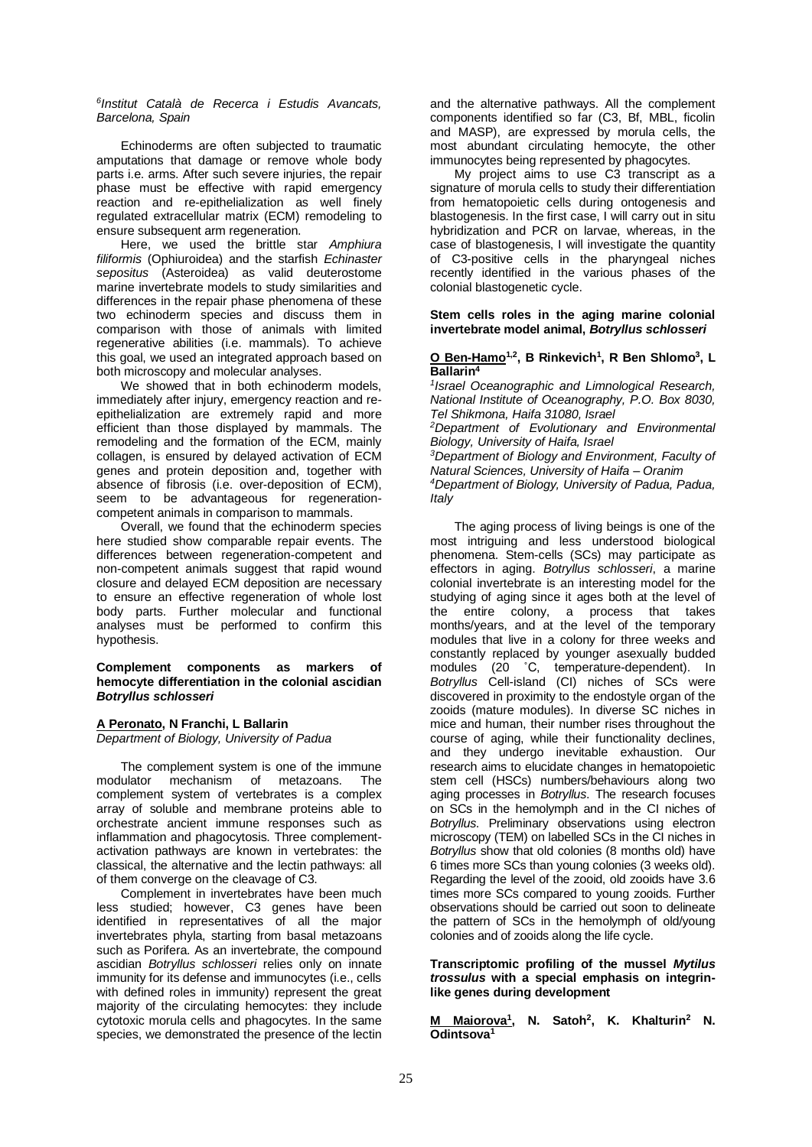*6 Institut Català de Recerca i Estudis Avancats, Barcelona, Spain*

Echinoderms are often subjected to traumatic amputations that damage or remove whole body parts i.e. arms. After such severe injuries, the repair phase must be effective with rapid emergency reaction and re-epithelialization as well finely regulated extracellular matrix (ECM) remodeling to ensure subsequent arm regeneration.

Here, we used the brittle star *Amphiura filiformis* (Ophiuroidea) and the starfish *Echinaster sepositus* (Asteroidea) as valid deuterostome marine invertebrate models to study similarities and differences in the repair phase phenomena of these two echinoderm species and discuss them in comparison with those of animals with limited regenerative abilities (i.e. mammals). To achieve this goal, we used an integrated approach based on both microscopy and molecular analyses.

We showed that in both echinoderm models, immediately after injury, emergency reaction and reepithelialization are extremely rapid and more efficient than those displayed by mammals. The remodeling and the formation of the ECM, mainly collagen, is ensured by delayed activation of ECM genes and protein deposition and, together with absence of fibrosis (i.e. over-deposition of ECM), seem to be advantageous for regenerationcompetent animals in comparison to mammals.

Overall, we found that the echinoderm species here studied show comparable repair events. The differences between regeneration-competent and non-competent animals suggest that rapid wound closure and delayed ECM deposition are necessary to ensure an effective regeneration of whole lost body parts. Further molecular and functional analyses must be performed to confirm this hypothesis.

#### **Complement components as markers of hemocyte differentiation in the colonial ascidian**  *Botryllus schlosseri*

## **A Peronato, N Franchi, L Ballarin**

*Department of Biology, University of Padua*

The complement system is one of the immune modulator mechanism of metazoans. The complement system of vertebrates is a complex array of soluble and membrane proteins able to orchestrate ancient immune responses such as inflammation and phagocytosis. Three complementactivation pathways are known in vertebrates: the classical, the alternative and the lectin pathways: all of them converge on the cleavage of C3.

Complement in invertebrates have been much less studied; however, C3 genes have been identified in representatives of all the major invertebrates phyla, starting from basal metazoans such as Porifera. As an invertebrate, the compound ascidian *Botryllus schlosseri* relies only on innate immunity for its defense and immunocytes (i.e., cells with defined roles in immunity) represent the great majority of the circulating hemocytes: they include cytotoxic morula cells and phagocytes. In the same species, we demonstrated the presence of the lectin and the alternative pathways. All the complement components identified so far (C3, Bf, MBL, ficolin and MASP), are expressed by morula cells, the most abundant circulating hemocyte, the other immunocytes being represented by phagocytes.

My project aims to use C3 transcript as a signature of morula cells to study their differentiation from hematopoietic cells during ontogenesis and blastogenesis. In the first case, I will carry out in situ hybridization and PCR on larvae, whereas, in the case of blastogenesis, I will investigate the quantity of C3-positive cells in the pharyngeal niches recently identified in the various phases of the colonial blastogenetic cycle.

#### **Stem cells roles in the aging marine colonial invertebrate model animal,** *Botryllus schlosseri*

#### **O Ben-Hamo1,2, B Rinkevich<sup>1</sup> , R Ben Shlomo<sup>3</sup> , L Ballarin<sup>4</sup>**

*1 Israel Oceanographic and Limnological Research, National Institute of Oceanography, P.O. Box 8030, Tel Shikmona, Haifa 31080, Israel* 

*<sup>2</sup>Department of Evolutionary and Environmental Biology, University of Haifa, Israel*

*<sup>3</sup>Department of Biology and Environment, Faculty of Natural Sciences, University of Haifa – Oranim <sup>4</sup>Department of Biology, University of Padua, Padua, Italy*

The aging process of living beings is one of the most intriguing and less understood biological phenomena. Stem-cells (SCs) may participate as effectors in aging. *Botryllus schlosseri*, a marine colonial invertebrate is an interesting model for the studying of aging since it ages both at the level of the entire colony, a process that takes months/years, and at the level of the temporary modules that live in a colony for three weeks and constantly replaced by younger asexually budded modules (20 ˚C, temperature-dependent). In *Botryllus* Cell-island (CI) niches of SCs were discovered in proximity to the endostyle organ of the zooids (mature modules). In diverse SC niches in mice and human, their number rises throughout the course of aging, while their functionality declines, and they undergo inevitable exhaustion. Our research aims to elucidate changes in hematopoietic stem cell (HSCs) numbers/behaviours along two aging processes in *Botryllus*. The research focuses on SCs in the hemolymph and in the CI niches of *Botryllus*. Preliminary observations using electron microscopy (TEM) on labelled SCs in the CI niches in *Botryllus* show that old colonies (8 months old) have 6 times more SCs than young colonies (3 weeks old). Regarding the level of the zooid, old zooids have 3.6 times more SCs compared to young zooids. Further observations should be carried out soon to delineate the pattern of SCs in the hemolymph of old/young colonies and of zooids along the life cycle.

### **Transcriptomic profiling of the mussel** *Mytilus trossulus* **with a special emphasis on integrinlike genes during development**

**M Maiorova<sup>1</sup> , N. Satoh<sup>2</sup> , K. Khalturin<sup>2</sup> N. Odintsova1**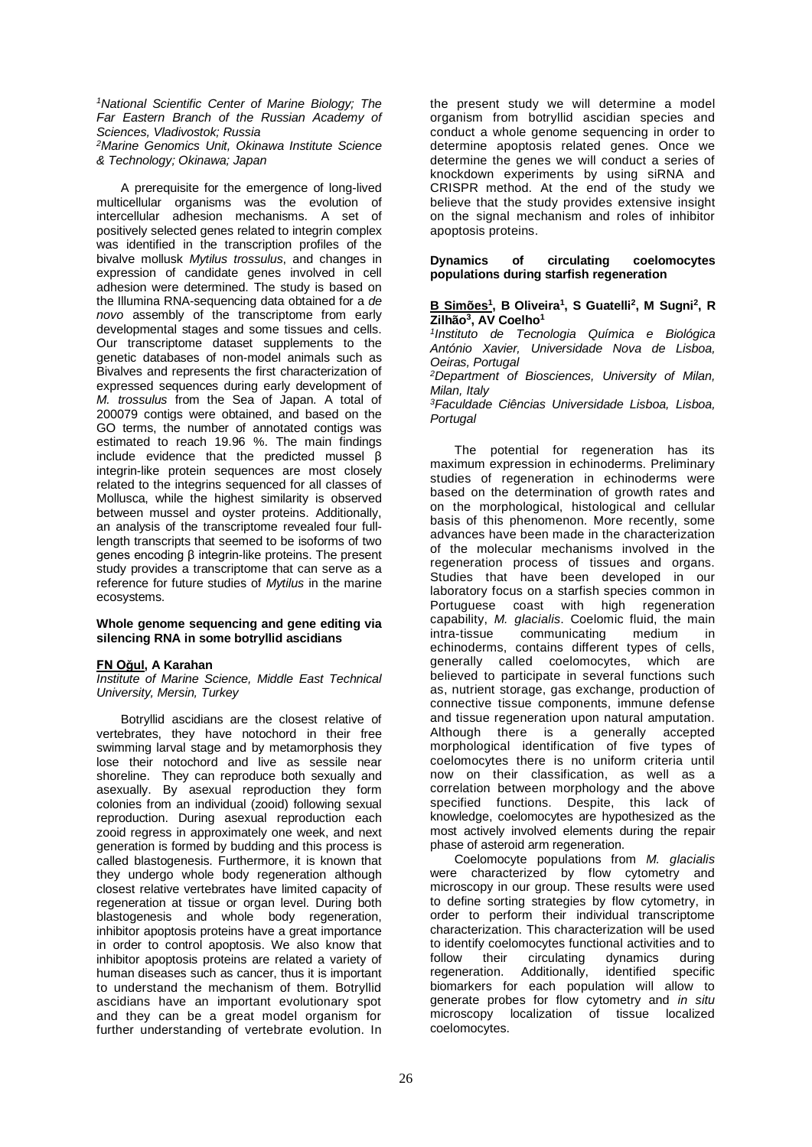*<sup>1</sup>National Scientific Center of Marine Biology; The Far Eastern Branch of the Russian Academy of Sciences, Vladivostok; Russia*

*<sup>2</sup>Marine Genomics Unit, Okinawa Institute Science & Technology; Okinawa; Japan*

A prerequisite for the emergence of long-lived multicellular organisms was the evolution of intercellular adhesion mechanisms. A set of positively selected genes related to integrin complex was identified in the transcription profiles of the bivalve mollusk *Mytilus trossulus*, and changes in expression of candidate genes involved in cell adhesion were determined. The study is based on the Illumina RNA-sequencing data obtained for a *de novo* assembly of the transcriptome from early developmental stages and some tissues and cells. Our transcriptome dataset supplements to the genetic databases of non-model animals such as Bivalves and represents the first characterization of expressed sequences during early development of *M. trossulus* from the Sea of Japan. A total of 200079 contigs were obtained, and based on the GO terms, the number of annotated contigs was estimated to reach 19.96 %. The main findings include evidence that the predicted mussel  $\beta$ integrin-like protein sequences are most closely related to the integrins sequenced for all classes of Mollusca, while the highest similarity is observed between mussel and oyster proteins. Additionally, an analysis of the transcriptome revealed four fulllength transcripts that seemed to be isoforms of two genes encoding β integrin-like proteins. The present study provides a transcriptome that can serve as a reference for future studies of *Mytilus* in the marine ecosystems.

## **Whole genome sequencing and gene editing via silencing RNA in some botryllid ascidians**

# **FN Oğul, A Karahan**

*Institute of Marine Science, Middle East Technical University, Mersin, Turkey*

Botryllid ascidians are the closest relative of vertebrates, they have notochord in their free swimming larval stage and by metamorphosis they lose their notochord and live as sessile near shoreline. They can reproduce both sexually and asexually. By asexual reproduction they form colonies from an individual (zooid) following sexual reproduction. During asexual reproduction each zooid regress in approximately one week, and next generation is formed by budding and this process is called blastogenesis. Furthermore, it is known that they undergo whole body regeneration although closest relative vertebrates have limited capacity of regeneration at tissue or organ level. During both blastogenesis and whole body regeneration, inhibitor apoptosis proteins have a great importance in order to control apoptosis. We also know that inhibitor apoptosis proteins are related a variety of human diseases such as cancer, thus it is important to understand the mechanism of them. Botryllid ascidians have an important evolutionary spot and they can be a great model organism for further understanding of vertebrate evolution. In

the present study we will determine a model organism from botryllid ascidian species and conduct a whole genome sequencing in order to determine apoptosis related genes. Once we determine the genes we will conduct a series of knockdown experiments by using siRNA and CRISPR method. At the end of the study we believe that the study provides extensive insight on the signal mechanism and roles of inhibitor apoptosis proteins.

### **Dynamics of circulating coelomocytes populations during starfish regeneration**

## **B Simões<sup>1</sup> , B Oliveira<sup>1</sup> , S Guatelli<sup>2</sup> , M Sugni<sup>2</sup> , R Zilhão<sup>3</sup> , AV Coelho<sup>1</sup>**

*1 Instituto de Tecnologia Química e Biológica António Xavier, Universidade Nova de Lisboa, Oeiras, Portugal*

*<sup>2</sup>Department of Biosciences, University of Milan, Milan, Italy*

*<sup>3</sup>Faculdade Ciências Universidade Lisboa, Lisboa, Portugal*

The potential for regeneration has its maximum expression in echinoderms. Preliminary studies of regeneration in echinoderms were based on the determination of growth rates and on the morphological, histological and cellular basis of this phenomenon. More recently, some advances have been made in the characterization of the molecular mechanisms involved in the regeneration process of tissues and organs. Studies that have been developed in our laboratory focus on a starfish species common in Portuguese coast with high regeneration capability, *M. glacialis*. Coelomic fluid, the main *i*communicating medium in echinoderms, contains different types of cells,<br>generally called coelomocytes, which are generally called coelomocytes, which are believed to participate in several functions such as, nutrient storage, gas exchange, production of connective tissue components, immune defense and tissue regeneration upon natural amputation. Although there is a generally accepted morphological identification of five types of coelomocytes there is no uniform criteria until now on their classification, as well as a correlation between morphology and the above specified functions. Despite, this lack of knowledge, coelomocytes are hypothesized as the most actively involved elements during the repair phase of asteroid arm regeneration.

Coelomocyte populations from *M. glacialis* were characterized by flow cytometry and microscopy in our group. These results were used to define sorting strategies by flow cytometry, in order to perform their individual transcriptome characterization. This characterization will be used to identify coelomocytes functional activities and to follow their circulating dynamics during regeneration. Additionally, identified specific biomarkers for each population will allow to generate probes for flow cytometry and *in situ* microscopy localization of tissue localized coelomocytes.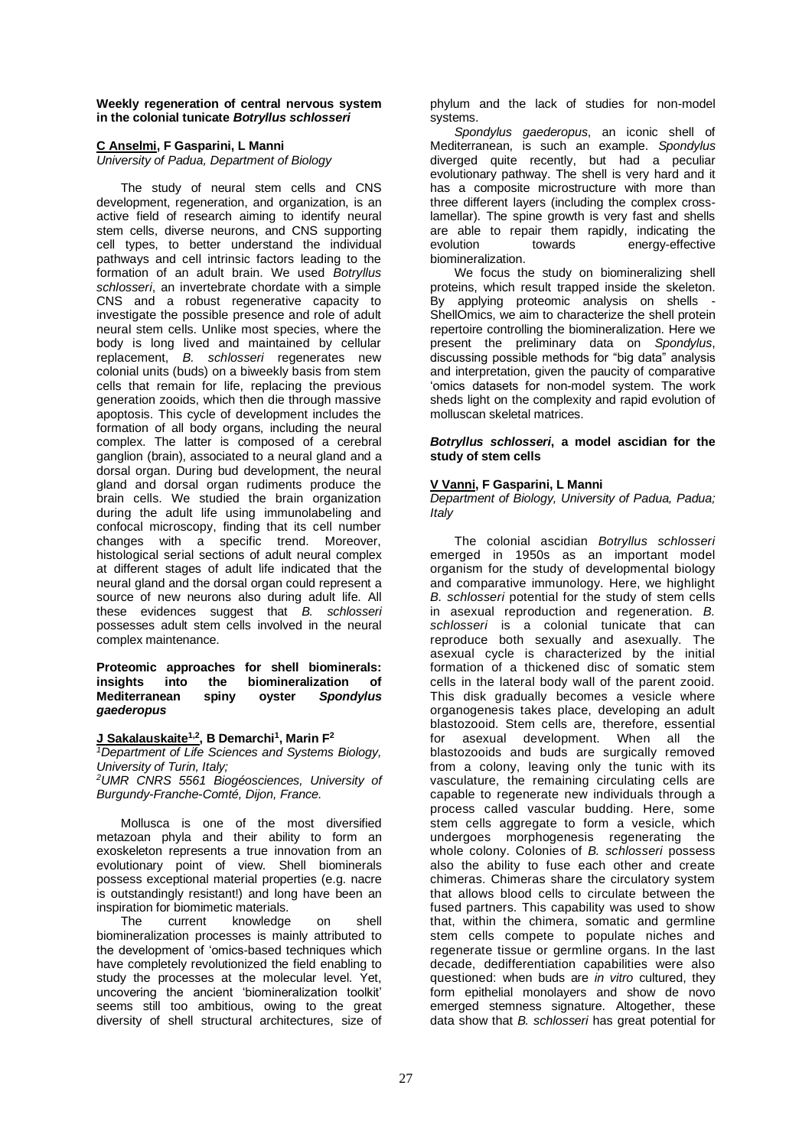#### **Weekly regeneration of central nervous system in the colonial tunicate** *Botryllus schlosseri*

# **C Anselmi, F Gasparini, L Manni**

*University of Padua, Department of Biology*

The study of neural stem cells and CNS development, regeneration, and organization, is an active field of research aiming to identify neural stem cells, diverse neurons, and CNS supporting cell types, to better understand the individual pathways and cell intrinsic factors leading to the formation of an adult brain. We used *Botryllus schlosseri*, an invertebrate chordate with a simple CNS and a robust regenerative capacity to investigate the possible presence and role of adult neural stem cells. Unlike most species, where the body is long lived and maintained by cellular replacement, *B. schlosseri* regenerates new colonial units (buds) on a biweekly basis from stem cells that remain for life, replacing the previous generation zooids, which then die through massive apoptosis. This cycle of development includes the formation of all body organs, including the neural complex. The latter is composed of a cerebral ganglion (brain), associated to a neural gland and a dorsal organ. During bud development, the neural gland and dorsal organ rudiments produce the brain cells. We studied the brain organization during the adult life using immunolabeling and confocal microscopy, finding that its cell number changes with a specific trend. Moreover, histological serial sections of adult neural complex at different stages of adult life indicated that the neural gland and the dorsal organ could represent a source of new neurons also during adult life. All these evidences suggest that *B. schlosseri* possesses adult stem cells involved in the neural complex maintenance.

## **Proteomic approaches for shell biominerals:**  into the biomineralization of<br>ean spiny ovster Spondylus **Mediterranean spiny ovster** *gaederopus*

### **J Sakalauskaite1,2, B Demarchi 1 , Marin F<sup>2</sup>**

*<sup>1</sup>Department of Life Sciences and Systems Biology, University of Turin, Italy; <sup>2</sup>UMR CNRS 5561 Biogéosciences, University of Burgundy-Franche-Comté, Dijon, France.*

Mollusca is one of the most diversified metazoan phyla and their ability to form an exoskeleton represents a true innovation from an evolutionary point of view. Shell biominerals possess exceptional material properties (e.g. nacre is outstandingly resistant!) and long have been an inspiration for biomimetic materials.

The current knowledge on shell biomineralization processes is mainly attributed to the development of 'omics-based techniques which have completely revolutionized the field enabling to study the processes at the molecular level. Yet, uncovering the ancient 'biomineralization toolkit' seems still too ambitious, owing to the great diversity of shell structural architectures, size of phylum and the lack of studies for non-model systems.

*Spondylus gaederopus*, an iconic shell of Mediterranean, is such an example. *Spondylus* diverged quite recently, but had a peculiar evolutionary pathway. The shell is very hard and it has a composite microstructure with more than three different layers (including the complex crosslamellar). The spine growth is very fast and shells are able to repair them rapidly, indicating the<br>evolution towards energy-effective energy-effective biomineralization.

We focus the study on biomineralizing shell proteins, which result trapped inside the skeleton. By applying proteomic analysis on shells - ShellOmics, we aim to characterize the shell protein repertoire controlling the biomineralization. Here we present the preliminary data on *Spondylus*, discussing possible methods for "big data" analysis and interpretation, given the paucity of comparative 'omics datasets for non-model system. The work sheds light on the complexity and rapid evolution of molluscan skeletal matrices.

## *Botryllus schlosseri***, a model ascidian for the study of stem cells**

## **V Vanni, F Gasparini, L Manni**

*Department of Biology, University of Padua, Padua; Italy*

The colonial ascidian *Botryllus schlosseri* emerged in 1950s as an important model organism for the study of developmental biology and comparative immunology. Here, we highlight *B. schlosseri* potential for the study of stem cells in asexual reproduction and regeneration. *B. schlosseri* is a colonial tunicate that can reproduce both sexually and asexually. The asexual cycle is characterized by the initial formation of a thickened disc of somatic stem cells in the lateral body wall of the parent zooid. This disk gradually becomes a vesicle where organogenesis takes place, developing an adult blastozooid. Stem cells are, therefore, essential<br>for asexual development. When all the for asexual development. When all the blastozooids and buds are surgically removed from a colony, leaving only the tunic with its vasculature, the remaining circulating cells are capable to regenerate new individuals through a process called vascular budding. Here, some stem cells aggregate to form a vesicle, which undergoes morphogenesis regenerating the whole colony. Colonies of *B. schlosseri* possess also the ability to fuse each other and create chimeras. Chimeras share the circulatory system that allows blood cells to circulate between the fused partners. This capability was used to show that, within the chimera, somatic and germline stem cells compete to populate niches and regenerate tissue or germline organs. In the last decade, dedifferentiation capabilities were also questioned: when buds are *in vitro* cultured, they form epithelial monolayers and show de novo emerged stemness signature. Altogether, these data show that *B. schlosseri* has great potential for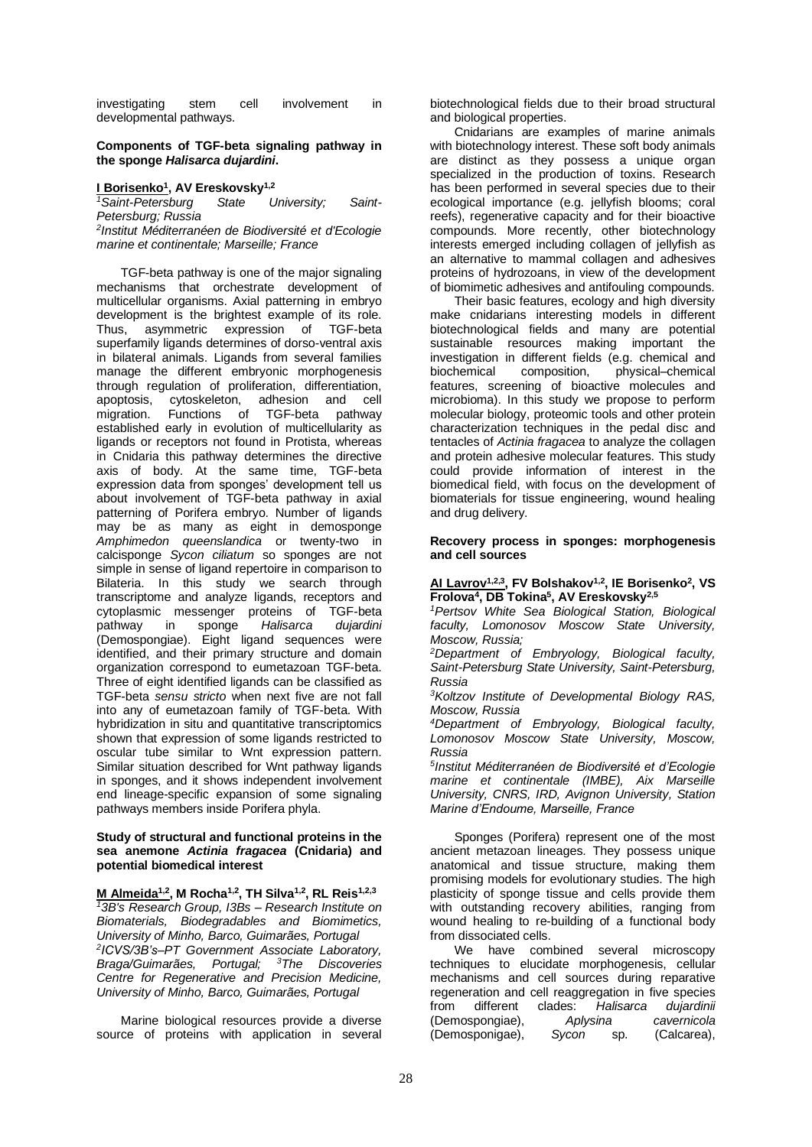investigating stem cell involvement in developmental pathways.

#### **Components of TGF-beta signaling pathway in the sponge** *Halisarca dujardini***.**

## **I Borisenko<sup>1</sup> , AV Ereskovsky1,2**

*1Saint-Petersburg State University; Saint-Petersburg; Russia*

*2 Institut Méditerranéen de Biodiversité et d'Ecologie marine et continentale; Marseille; France*

TGF-beta pathway is one of the major signaling mechanisms that orchestrate development of multicellular organisms. Axial patterning in embryo development is the brightest example of its role.<br>Thus. asymmetric expression of TGF-beta asymmetric expression of TGF-beta superfamily ligands determines of dorso-ventral axis in bilateral animals. Ligands from several families manage the different embryonic morphogenesis through regulation of proliferation, differentiation, apoptosis, cytoskeleton, adhesion and cell Functions of TGF-beta pathway established early in evolution of multicellularity as ligands or receptors not found in Protista, whereas in Cnidaria this pathway determines the directive axis of body. At the same time, TGF-beta expression data from sponges' development tell us about involvement of TGF-beta pathway in axial patterning of Porifera embryo. Number of ligands may be as many as eight in demosponge *Amphimedon queenslandica* or twenty-two in calcisponge *Sycon ciliatum* so sponges are not simple in sense of ligand repertoire in comparison to Bilateria. In this study we search through transcriptome and analyze ligands, receptors and cytoplasmic messenger proteins of TGF-beta pathway in sponge *Halisarca dujardini* (Demospongiae). Eight ligand sequences were identified, and their primary structure and domain organization correspond to eumetazoan TGF-beta. Three of eight identified ligands can be classified as TGF-beta *sensu stricto* when next five are not fall into any of eumetazoan family of TGF-beta. With hybridization in situ and quantitative transcriptomics shown that expression of some ligands restricted to oscular tube similar to Wnt expression pattern. Similar situation described for Wnt pathway ligands in sponges, and it shows independent involvement end lineage-specific expansion of some signaling pathways members inside Porifera phyla.

#### **Study of structural and functional proteins in the sea anemone** *Actinia fragacea* **(Cnidaria) and potential biomedical interest**

**M Almeida1,2, M Rocha1,2, TH Silva1,2, RL Reis1,2,3** *<sup>1</sup>3B's Research Group, I3Bs – Research Institute on Biomaterials, Biodegradables and Biomimetics, University of Minho, Barco, Guimarães, Portugal 2 ICVS/3B's–PT Government Associate Laboratory, Braga/Guimarães, Portugal; <sup>3</sup>The Discoveries Centre for Regenerative and Precision Medicine, University of Minho, Barco, Guimarães, Portugal*

Marine biological resources provide a diverse source of proteins with application in several biotechnological fields due to their broad structural and biological properties.

Cnidarians are examples of marine animals with biotechnology interest. These soft body animals are distinct as they possess a unique organ specialized in the production of toxins. Research has been performed in several species due to their ecological importance (e.g. jellyfish blooms; coral reefs), regenerative capacity and for their bioactive compounds. More recently, other biotechnology interests emerged including collagen of jellyfish as an alternative to mammal collagen and adhesives proteins of hydrozoans, in view of the development of biomimetic adhesives and antifouling compounds.

Their basic features, ecology and high diversity make cnidarians interesting models in different biotechnological fields and many are potential sustainable resources making important the investigation in different fields (e.g. chemical and biochemical composition, physical–chemical features, screening of bioactive molecules and microbioma). In this study we propose to perform molecular biology, proteomic tools and other protein characterization techniques in the pedal disc and tentacles of *Actinia fragacea* to analyze the collagen and protein adhesive molecular features. This study could provide information of interest in the biomedical field, with focus on the development of biomaterials for tissue engineering, wound healing and drug delivery.

#### **Recovery process in sponges: morphogenesis and cell sources**

## **AI Lavrov1,2,3, FV Bolshakov1,2, IE Borisenko<sup>2</sup> , VS Frolova<sup>4</sup> , DB Tokina<sup>5</sup> , AV Ereskovsky2,5**

*<sup>1</sup>Pertsov White Sea Biological Station, Biological faculty, Lomonosov Moscow State University, Moscow, Russia;*

*<sup>2</sup>Department of Embryology, Biological faculty, Saint-Petersburg State University, Saint-Petersburg, Russia*

*<sup>3</sup>Koltzov Institute of Developmental Biology RAS, Moscow, Russia*

*<sup>4</sup>Department of Embryology, Biological faculty, Lomonosov Moscow State University, Moscow, Russia*

*5 Institut Méditerranéen de Biodiversité et d'Ecologie marine et continentale (IMBE), Aix Marseille University, CNRS, IRD, Avignon University, Station Marine d'Endoume, Marseille, France*

Sponges (Porifera) represent one of the most ancient metazoan lineages. They possess unique anatomical and tissue structure, making them promising models for evolutionary studies. The high plasticity of sponge tissue and cells provide them with outstanding recovery abilities, ranging from wound healing to re-building of a functional body from dissociated cells.

We have combined several microscopy techniques to elucidate morphogenesis, cellular mechanisms and cell sources during reparative regeneration and cell reaggregation in five species<br>from different clades: Halisarca dujardinii different (Demospongiae), *Aplysina cavernicola* (Demosponigae), Sycon sp.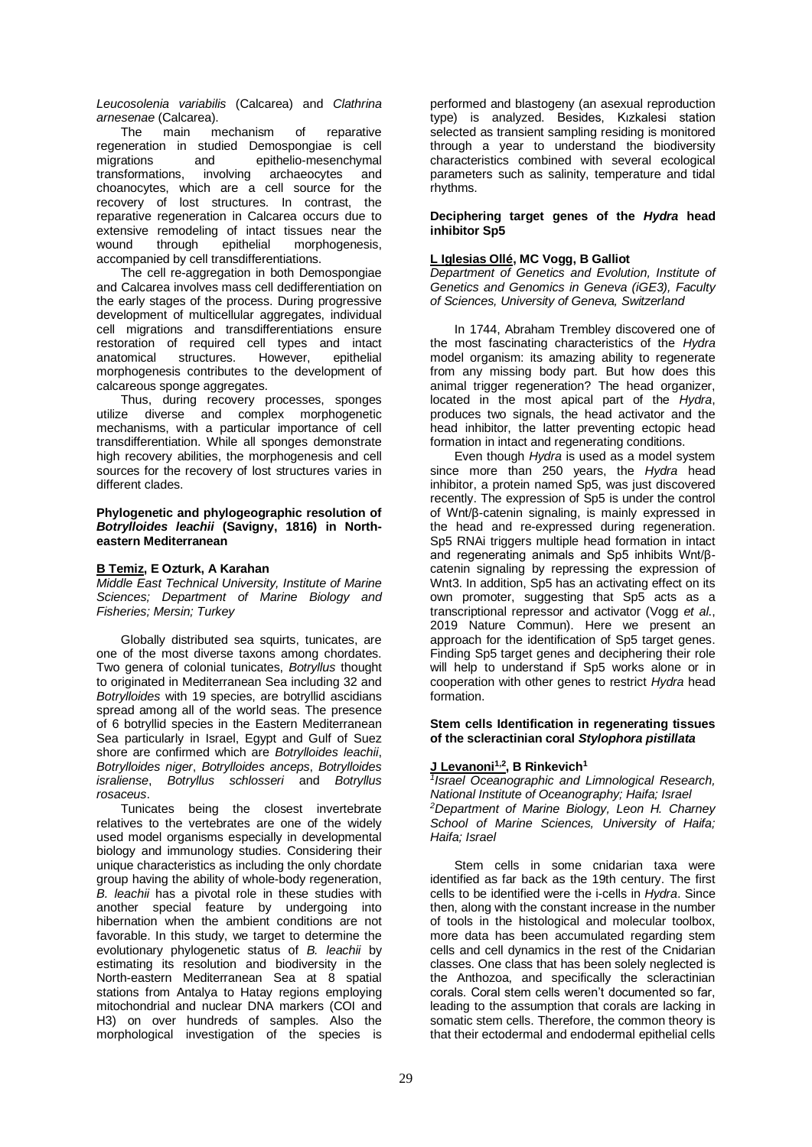*Leucosolenia variabilis* (Calcarea) and *Clathrina*

*arnesenae* (Calcarea). The main mechanism of reparative regeneration in studied Demospongiae is cell migrations and epithelio-mesenchymal transformations, involving archaeocytes and choanocytes, which are a cell source for the recovery of lost structures. In contrast, the reparative regeneration in Calcarea occurs due to extensive remodeling of intact tissues near the<br>wound through epithelial morphogenesis. wound through epithelial morphogenesis, accompanied by cell transdifferentiations.

The cell re-aggregation in both Demospongiae and Calcarea involves mass cell dedifferentiation on the early stages of the process. During progressive development of multicellular aggregates, individual cell migrations and transdifferentiations ensure restoration of required cell types and intact<br>anatomical structures. However, epithelial anatomical structures. However, morphogenesis contributes to the development of calcareous sponge aggregates.

Thus, during recovery processes, sponges utilize diverse and complex morphogenetic mechanisms, with a particular importance of cell transdifferentiation. While all sponges demonstrate high recovery abilities, the morphogenesis and cell sources for the recovery of lost structures varies in different clades.

## **Phylogenetic and phylogeographic resolution of**  *Botrylloides leachii* **(Savigny, 1816) in Northeastern Mediterranean**

## **B Temiz, E Ozturk, A Karahan**

*Middle East Technical University, Institute of Marine Sciences; Department of Marine Biology and Fisheries; Mersin; Turkey*

Globally distributed sea squirts, tunicates, are one of the most diverse taxons among chordates. Two genera of colonial tunicates, *Botryllus* thought to originated in Mediterranean Sea including 32 and *Botrylloides* with 19 species, are botryllid ascidians spread among all of the world seas. The presence of 6 botryllid species in the Eastern Mediterranean Sea particularly in Israel, Egypt and Gulf of Suez shore are confirmed which are *Botrylloides leachii*, *Botrylloides niger*, *Botrylloides anceps*, *Botrylloides israliense*, *Botryllus schlosseri* and *Botryllus rosaceus*.

Tunicates being the closest invertebrate relatives to the vertebrates are one of the widely used model organisms especially in developmental biology and immunology studies. Considering their unique characteristics as including the only chordate group having the ability of whole-body regeneration, *B. leachii* has a pivotal role in these studies with another special feature by undergoing into hibernation when the ambient conditions are not favorable. In this study, we target to determine the evolutionary phylogenetic status of *B. leachii* by estimating its resolution and biodiversity in the North-eastern Mediterranean Sea at 8 spatial stations from Antalya to Hatay regions employing mitochondrial and nuclear DNA markers (COI and H3) on over hundreds of samples. Also the morphological investigation of the species is

performed and blastogeny (an asexual reproduction type) is analyzed. Besides, Kızkalesi station selected as transient sampling residing is monitored through a year to understand the biodiversity characteristics combined with several ecological parameters such as salinity, temperature and tidal rhythms.

**Deciphering target genes of the** *Hydra* **head inhibitor Sp5**

## **L Iglesias Ollé, MC Vogg, B Galliot**

*Department of Genetics and Evolution, Institute of Genetics and Genomics in Geneva (iGE3), Faculty of Sciences, University of Geneva, Switzerland*

In 1744, Abraham Trembley discovered one of the most fascinating characteristics of the *Hydra* model organism: its amazing ability to regenerate from any missing body part. But how does this animal trigger regeneration? The head organizer, located in the most apical part of the *Hydra*, produces two signals, the head activator and the head inhibitor, the latter preventing ectopic head formation in intact and regenerating conditions.

Even though *Hydra* is used as a model system since more than 250 years, the *Hydra* head inhibitor, a protein named Sp5, was just discovered recently. The expression of Sp5 is under the control of Wnt/β-catenin signaling, is mainly expressed in the head and re-expressed during regeneration. Sp5 RNAi triggers multiple head formation in intact and regenerating animals and Sp5 inhibits Wnt/βcatenin signaling by repressing the expression of Wnt3. In addition, Sp5 has an activating effect on its own promoter, suggesting that Sp5 acts as a transcriptional repressor and activator (Vogg *et al*., 2019 Nature Commun). Here we present an approach for the identification of Sp5 target genes. Finding Sp5 target genes and deciphering their role will help to understand if Sp5 works alone or in cooperation with other genes to restrict *Hydra* head formation.

### **Stem cells Identification in regenerating tissues of the scleractinian coral** *Stylophora pistillata*

# **J Levanoni1,2, B Rinkevich<sup>1</sup>**

*1 Israel Oceanographic and Limnological Research, National Institute of Oceanography; Haifa; Israel <sup>2</sup>Department of Marine Biology, Leon H. Charney School of Marine Sciences, University of Haifa; Haifa; Israel*

Stem cells in some cnidarian taxa were identified as far back as the 19th century. The first cells to be identified were the i-cells in *Hydra*. Since then, along with the constant increase in the number of tools in the histological and molecular toolbox, more data has been accumulated regarding stem cells and cell dynamics in the rest of the Cnidarian classes. One class that has been solely neglected is the Anthozoa, and specifically the scleractinian corals. Coral stem cells weren't documented so far, leading to the assumption that corals are lacking in somatic stem cells. Therefore, the common theory is that their ectodermal and endodermal epithelial cells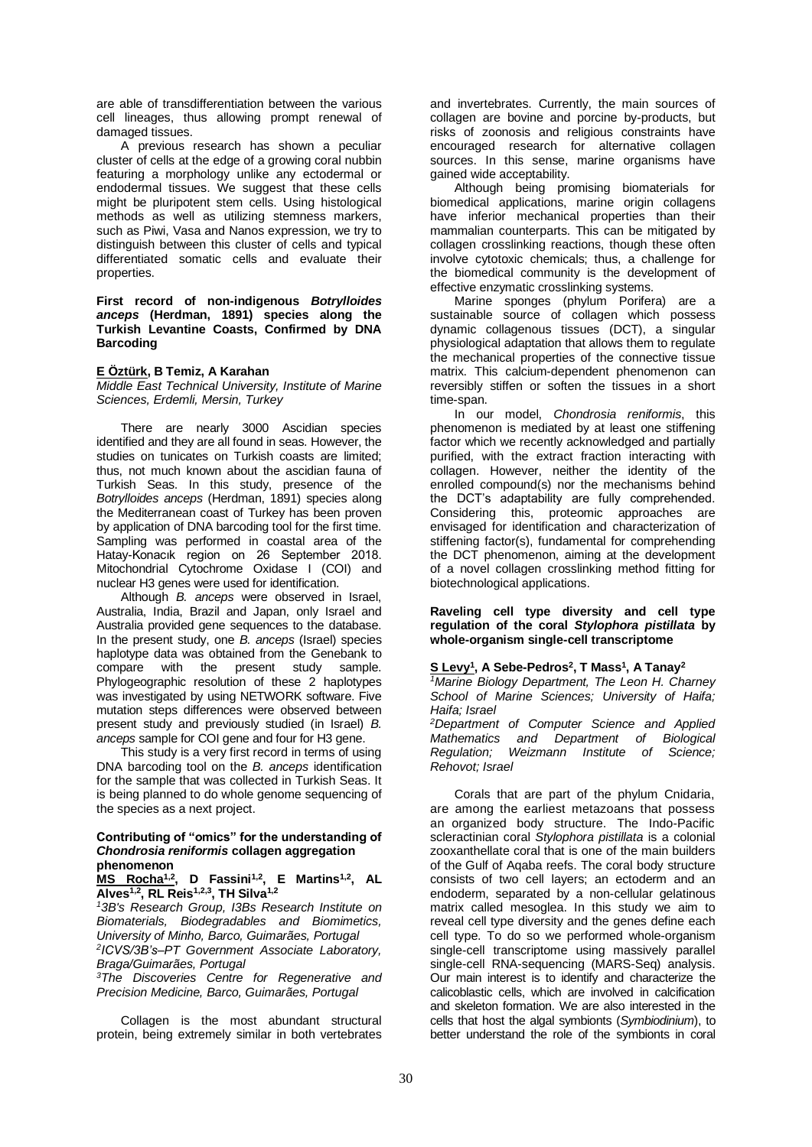are able of transdifferentiation between the various cell lineages, thus allowing prompt renewal of damaged tissues.

A previous research has shown a peculiar cluster of cells at the edge of a growing coral nubbin featuring a morphology unlike any ectodermal or endodermal tissues. We suggest that these cells might be pluripotent stem cells. Using histological methods as well as utilizing stemness markers, such as Piwi, Vasa and Nanos expression, we try to distinguish between this cluster of cells and typical differentiated somatic cells and evaluate their properties.

**First record of non-indigenous** *Botrylloides anceps* **(Herdman, 1891) species along the Turkish Levantine Coasts, Confirmed by DNA Barcoding**

# **E Öztürk, B Temiz, A Karahan**

*Middle East Technical University, Institute of Marine Sciences, Erdemli, Mersin, Turkey*

There are nearly 3000 Ascidian species identified and they are all found in seas. However, the studies on tunicates on Turkish coasts are limited; thus, not much known about the ascidian fauna of Turkish Seas. In this study, presence of the *Botrylloides anceps* (Herdman, 1891) species along the Mediterranean coast of Turkey has been proven by application of DNA barcoding tool for the first time. Sampling was performed in coastal area of the Hatay-Konacık region on 26 September 2018. Mitochondrial Cytochrome Oxidase I (COI) and nuclear H3 genes were used for identification.

Although *B. anceps* were observed in Israel, Australia, India, Brazil and Japan, only Israel and Australia provided gene sequences to the database. In the present study, one *B. anceps* (Israel) species haplotype data was obtained from the Genebank to compare with the present study sample. Phylogeographic resolution of these 2 haplotypes was investigated by using NETWORK software. Five mutation steps differences were observed between present study and previously studied (in Israel) *B. anceps* sample for COI gene and four for H3 gene.

This study is a very first record in terms of using DNA barcoding tool on the *B. anceps* identification for the sample that was collected in Turkish Seas. It is being planned to do whole genome sequencing of the species as a next project.

#### **Contributing of "omics" for the understanding of**  *Chondrosia reniformis* **collagen aggregation phenomenon**

**MS Rocha1,2, D Fassini1,2, E Martins1,2, AL Alves1,2, RL Reis1,2,3, TH Silva1,2**

*<sup>1</sup>3B's Research Group, I3Bs Research Institute on Biomaterials, Biodegradables and Biomimetics, University of Minho, Barco, Guimarães, Portugal 2 ICVS/3B's–PT Government Associate Laboratory, Braga/Guimarães, Portugal*

*<sup>3</sup>The Discoveries Centre for Regenerative and Precision Medicine, Barco, Guimarães, Portugal*

Collagen is the most abundant structural protein, being extremely similar in both vertebrates and invertebrates. Currently, the main sources of collagen are bovine and porcine by-products, but risks of zoonosis and religious constraints have encouraged research for alternative collagen sources. In this sense, marine organisms have gained wide acceptability.

Although being promising biomaterials for biomedical applications, marine origin collagens have inferior mechanical properties than their mammalian counterparts. This can be mitigated by collagen crosslinking reactions, though these often involve cytotoxic chemicals; thus, a challenge for the biomedical community is the development of effective enzymatic crosslinking systems.

Marine sponges (phylum Porifera) are a sustainable source of collagen which possess dynamic collagenous tissues (DCT), a singular physiological adaptation that allows them to regulate the mechanical properties of the connective tissue matrix. This calcium-dependent phenomenon can reversibly stiffen or soften the tissues in a short time-span.

In our model, *Chondrosia reniformis*, this phenomenon is mediated by at least one stiffening factor which we recently acknowledged and partially purified, with the extract fraction interacting with collagen. However, neither the identity of the enrolled compound(s) nor the mechanisms behind the DCT's adaptability are fully comprehended. Considering this, proteomic approaches are envisaged for identification and characterization of stiffening factor(s), fundamental for comprehending the DCT phenomenon, aiming at the development of a novel collagen crosslinking method fitting for biotechnological applications.

**Raveling cell type diversity and cell type regulation of the coral** *Stylophora pistillata* **by whole-organism single-cell transcriptome**

## **S Levy<sup>1</sup> , A Sebe-Pedros<sup>2</sup> , T Mass<sup>1</sup> , A Tanay<sup>2</sup>**

*<sup>1</sup>Marine Biology Department, The Leon H. Charney School of Marine Sciences; University of Haifa; Haifa; Israel*

*<sup>2</sup>Department of Computer Science and Applied Mathematics and Department of Biological Regulation; Weizmann Institute of Science; Rehovot; Israel*

Corals that are part of the phylum Cnidaria, are among the earliest metazoans that possess an organized body structure. The Indo-Pacific scleractinian coral *Stylophora pistillata* is a colonial zooxanthellate coral that is one of the main builders of the Gulf of Aqaba reefs. The coral body structure consists of two cell layers; an ectoderm and an endoderm, separated by a non-cellular gelatinous matrix called mesoglea. In this study we aim to reveal cell type diversity and the genes define each cell type. To do so we performed whole-organism single-cell transcriptome using massively parallel single-cell RNA-sequencing (MARS-Seq) analysis. Our main interest is to identify and characterize the calicoblastic cells, which are involved in calcification and skeleton formation. We are also interested in the cells that host the algal symbionts (*Symbiodinium*), to better understand the role of the symbionts in coral